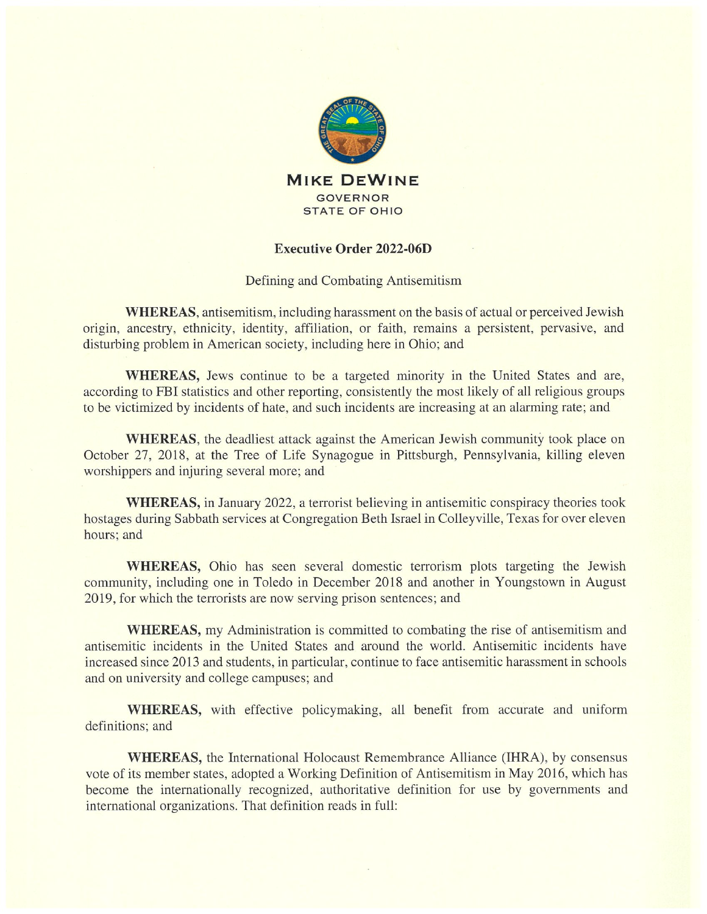

## Executive Order 2022-06D

## Defining and Combating Antisemitism

WHEREAS, antisemitism, including harassment on the basis of actual or perceived Jewish origin, ancestry, ethnicity, identity, affiliation, or faith, remains <sup>a</sup> persistent, pervasive, and disturbing problem in American society, including here in Ohio; and

WHEREAS, Jews continue to be a targeted minority in the United States and are, according to FBI statistics and other reporting, consistently the most likely of all religious groups to be victimized by incidents of hate, and such incidents are increasing at an alarming rate; and

WHEREAS, the deadliest attack against the American Jewish community took place on October 27, 2018, at the Tree of Life Synagogue in Pittsburgh, Pennsylvania, killing eleven worshippers and injuring several more; and

WHEREAS, in January 2022, <sup>a</sup> terrorist believing in antisemitic conspiracy theories took hostages during Sabbath services at Congregation Beth Israel in Colleyville, Texas for over eleven hours; and

WHEREAS, Ohio has seen several domestic terrorism plots targeting the Jewish community, including one in Toledo in December 2018 and another in Youngstown in August 2019, for which the terrorists are now serving prison sentences; and

WHEREAS, my Administration is committed to combating the rise of antisemitism and antisemitic incidents in the United States and around the world. Antisemitic incidents have increased since 2013 and students, in particular, continue to face antisemitic harassment in schools and on university and college campuses; and

WHEREAS, with effective policymaking, all benefit from accurate and uniform definitions; and

WHEREAS, the International Holocaust Remembrance Alliance (IHRA), by consensus vote of its member states, adopted <sup>a</sup> Working Definition of Antisemitism in May 2016, which has become the internationally recognized, authoritative definition for use by governments and international organizations. That definition reads in full: